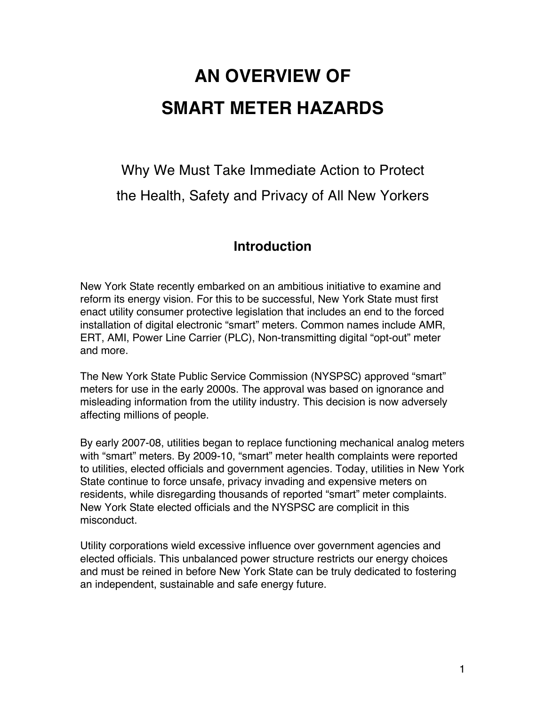# **AN OVERVIEW OF SMART METER HAZARDS**

## Why We Must Take Immediate Action to Protect the Health, Safety and Privacy of All New Yorkers

## **Introduction**

New York State recently embarked on an ambitious initiative to examine and reform its energy vision. For this to be successful, New York State must first enact utility consumer protective legislation that includes an end to the forced installation of digital electronic "smart" meters. Common names include AMR, ERT, AMI, Power Line Carrier (PLC), Non-transmitting digital "opt-out" meter and more.

The New York State Public Service Commission (NYSPSC) approved "smart" meters for use in the early 2000s. The approval was based on ignorance and misleading information from the utility industry. This decision is now adversely affecting millions of people.

By early 2007-08, utilities began to replace functioning mechanical analog meters with "smart" meters. By 2009-10, "smart" meter health complaints were reported to utilities, elected officials and government agencies. Today, utilities in New York State continue to force unsafe, privacy invading and expensive meters on residents, while disregarding thousands of reported "smart" meter complaints. New York State elected officials and the NYSPSC are complicit in this misconduct.

Utility corporations wield excessive influence over government agencies and elected officials. This unbalanced power structure restricts our energy choices and must be reined in before New York State can be truly dedicated to fostering an independent, sustainable and safe energy future.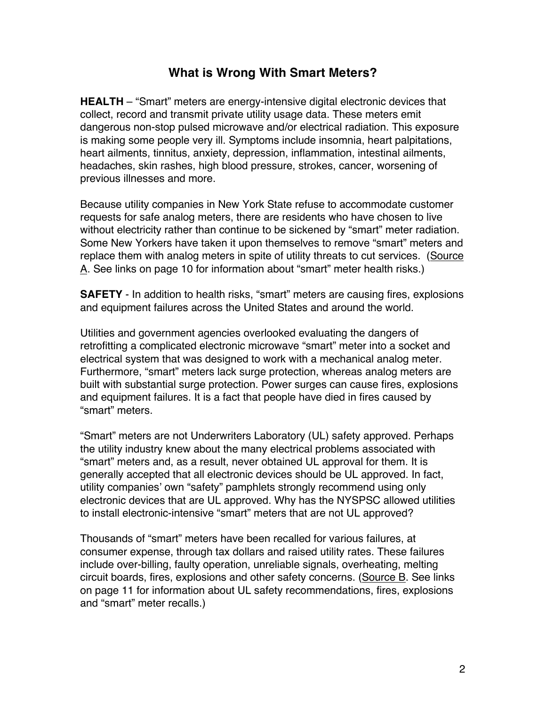#### **What is Wrong With Smart Meters?**

**HEALTH** – "Smart" meters are energy-intensive digital electronic devices that collect, record and transmit private utility usage data. These meters emit dangerous non-stop pulsed microwave and/or electrical radiation. This exposure is making some people very ill. Symptoms include insomnia, heart palpitations, heart ailments, tinnitus, anxiety, depression, inflammation, intestinal ailments, headaches, skin rashes, high blood pressure, strokes, cancer, worsening of previous illnesses and more.

Because utility companies in New York State refuse to accommodate customer requests for safe analog meters, there are residents who have chosen to live without electricity rather than continue to be sickened by "smart" meter radiation. Some New Yorkers have taken it upon themselves to remove "smart" meters and replace them with analog meters in spite of utility threats to cut services. (Source A. See links on page 10 for information about "smart" meter health risks.)

**SAFETY** - In addition to health risks, "smart" meters are causing fires, explosions and equipment failures across the United States and around the world.

Utilities and government agencies overlooked evaluating the dangers of retrofitting a complicated electronic microwave "smart" meter into a socket and electrical system that was designed to work with a mechanical analog meter. Furthermore, "smart" meters lack surge protection, whereas analog meters are built with substantial surge protection. Power surges can cause fires, explosions and equipment failures. It is a fact that people have died in fires caused by "smart" meters.

"Smart" meters are not Underwriters Laboratory (UL) safety approved. Perhaps the utility industry knew about the many electrical problems associated with "smart" meters and, as a result, never obtained UL approval for them. It is generally accepted that all electronic devices should be UL approved. In fact, utility companies' own "safety" pamphlets strongly recommend using only electronic devices that are UL approved. Why has the NYSPSC allowed utilities to install electronic-intensive "smart" meters that are not UL approved?

Thousands of "smart" meters have been recalled for various failures, at consumer expense, through tax dollars and raised utility rates. These failures include over-billing, faulty operation, unreliable signals, overheating, melting circuit boards, fires, explosions and other safety concerns. (Source B. See links on page 11 for information about UL safety recommendations, fires, explosions and "smart" meter recalls.)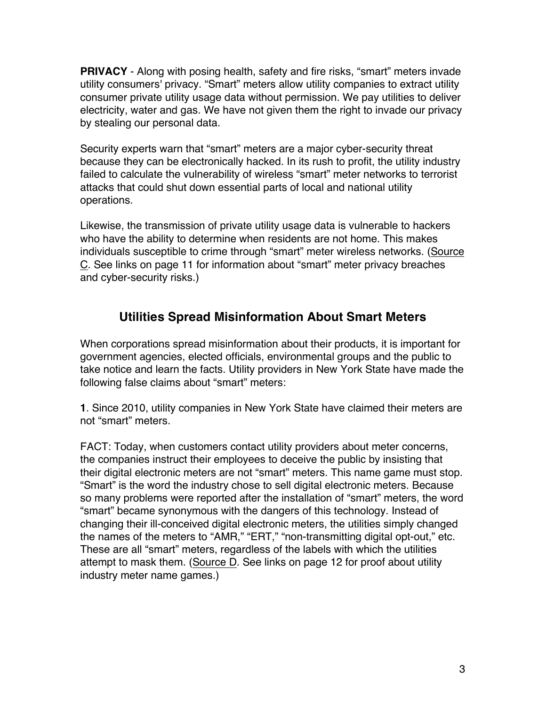**PRIVACY** - Along with posing health, safety and fire risks, "smart" meters invade utility consumers' privacy. "Smart" meters allow utility companies to extract utility consumer private utility usage data without permission. We pay utilities to deliver electricity, water and gas. We have not given them the right to invade our privacy by stealing our personal data.

Security experts warn that "smart" meters are a major cyber-security threat because they can be electronically hacked. In its rush to profit, the utility industry failed to calculate the vulnerability of wireless "smart" meter networks to terrorist attacks that could shut down essential parts of local and national utility operations.

Likewise, the transmission of private utility usage data is vulnerable to hackers who have the ability to determine when residents are not home. This makes individuals susceptible to crime through "smart" meter wireless networks. (Source C. See links on page 11 for information about "smart" meter privacy breaches and cyber-security risks.)

## **Utilities Spread Misinformation About Smart Meters**

When corporations spread misinformation about their products, it is important for government agencies, elected officials, environmental groups and the public to take notice and learn the facts. Utility providers in New York State have made the following false claims about "smart" meters:

**1**. Since 2010, utility companies in New York State have claimed their meters are not "smart" meters.

FACT: Today, when customers contact utility providers about meter concerns, the companies instruct their employees to deceive the public by insisting that their digital electronic meters are not "smart" meters. This name game must stop. "Smart" is the word the industry chose to sell digital electronic meters. Because so many problems were reported after the installation of "smart" meters, the word "smart" became synonymous with the dangers of this technology. Instead of changing their ill-conceived digital electronic meters, the utilities simply changed the names of the meters to "AMR," "ERT," "non-transmitting digital opt-out," etc. These are all "smart" meters, regardless of the labels with which the utilities attempt to mask them. (Source D. See links on page 12 for proof about utility industry meter name games.)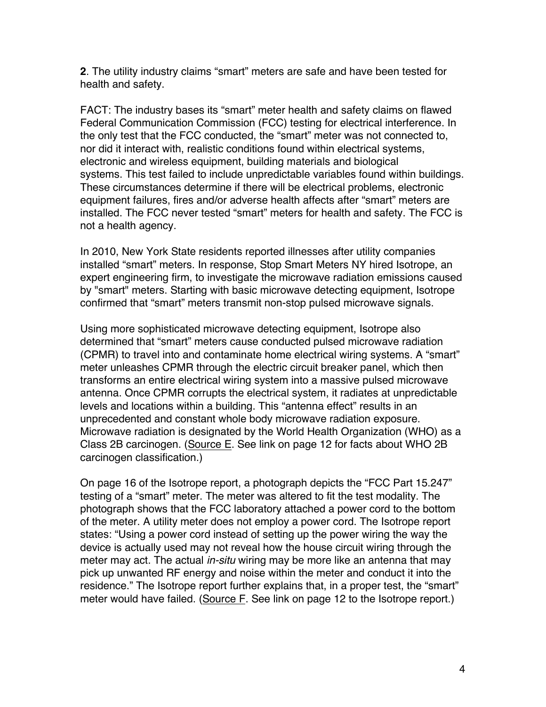**2**. The utility industry claims "smart" meters are safe and have been tested for health and safety.

FACT: The industry bases its "smart" meter health and safety claims on flawed Federal Communication Commission (FCC) testing for electrical interference. In the only test that the FCC conducted, the "smart" meter was not connected to, nor did it interact with, realistic conditions found within electrical systems, electronic and wireless equipment, building materials and biological systems. This test failed to include unpredictable variables found within buildings. These circumstances determine if there will be electrical problems, electronic equipment failures, fires and/or adverse health affects after "smart" meters are installed. The FCC never tested "smart" meters for health and safety. The FCC is not a health agency.

In 2010, New York State residents reported illnesses after utility companies installed "smart" meters. In response, Stop Smart Meters NY hired Isotrope, an expert engineering firm, to investigate the microwave radiation emissions caused by "smart" meters. Starting with basic microwave detecting equipment, Isotrope confirmed that "smart" meters transmit non-stop pulsed microwave signals.

Using more sophisticated microwave detecting equipment, Isotrope also determined that "smart" meters cause conducted pulsed microwave radiation (CPMR) to travel into and contaminate home electrical wiring systems. A "smart" meter unleashes CPMR through the electric circuit breaker panel, which then transforms an entire electrical wiring system into a massive pulsed microwave antenna. Once CPMR corrupts the electrical system, it radiates at unpredictable levels and locations within a building. This "antenna effect" results in an unprecedented and constant whole body microwave radiation exposure. Microwave radiation is designated by the World Health Organization (WHO) as a Class 2B carcinogen. (Source E. See link on page 12 for facts about WHO 2B carcinogen classification.)

On page 16 of the Isotrope report, a photograph depicts the "FCC Part 15.247" testing of a "smart" meter. The meter was altered to fit the test modality. The photograph shows that the FCC laboratory attached a power cord to the bottom of the meter. A utility meter does not employ a power cord. The Isotrope report states: "Using a power cord instead of setting up the power wiring the way the device is actually used may not reveal how the house circuit wiring through the meter may act. The actual *in-situ* wiring may be more like an antenna that may pick up unwanted RF energy and noise within the meter and conduct it into the residence." The Isotrope report further explains that, in a proper test, the "smart" meter would have failed. (Source F. See link on page 12 to the Isotrope report.)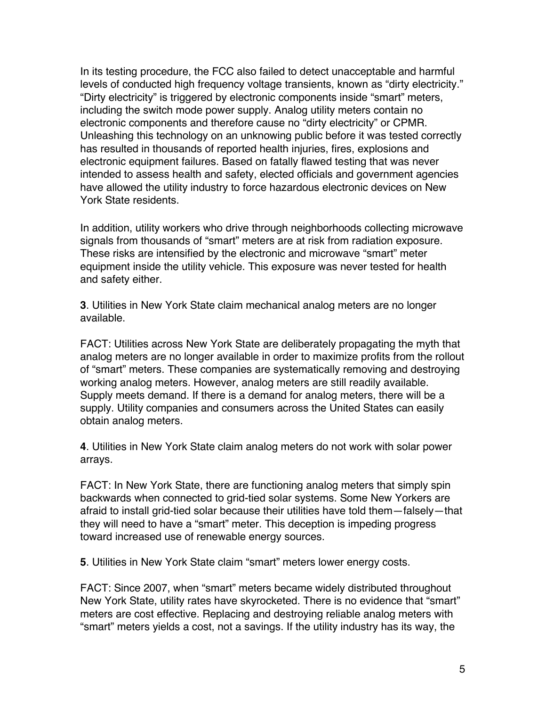In its testing procedure, the FCC also failed to detect unacceptable and harmful levels of conducted high frequency voltage transients, known as "dirty electricity." "Dirty electricity" is triggered by electronic components inside "smart" meters, including the switch mode power supply. Analog utility meters contain no electronic components and therefore cause no "dirty electricity" or CPMR. Unleashing this technology on an unknowing public before it was tested correctly has resulted in thousands of reported health injuries, fires, explosions and electronic equipment failures. Based on fatally flawed testing that was never intended to assess health and safety, elected officials and government agencies have allowed the utility industry to force hazardous electronic devices on New York State residents.

In addition, utility workers who drive through neighborhoods collecting microwave signals from thousands of "smart" meters are at risk from radiation exposure. These risks are intensified by the electronic and microwave "smart" meter equipment inside the utility vehicle. This exposure was never tested for health and safety either.

**3**. Utilities in New York State claim mechanical analog meters are no longer available.

FACT: Utilities across New York State are deliberately propagating the myth that analog meters are no longer available in order to maximize profits from the rollout of "smart" meters. These companies are systematically removing and destroying working analog meters. However, analog meters are still readily available. Supply meets demand. If there is a demand for analog meters, there will be a supply. Utility companies and consumers across the United States can easily obtain analog meters.

**4**. Utilities in New York State claim analog meters do not work with solar power arrays.

FACT: In New York State, there are functioning analog meters that simply spin backwards when connected to grid-tied solar systems. Some New Yorkers are afraid to install grid-tied solar because their utilities have told them—falsely—that they will need to have a "smart" meter. This deception is impeding progress toward increased use of renewable energy sources.

**5**. Utilities in New York State claim "smart" meters lower energy costs.

FACT: Since 2007, when "smart" meters became widely distributed throughout New York State, utility rates have skyrocketed. There is no evidence that "smart" meters are cost effective. Replacing and destroying reliable analog meters with "smart" meters yields a cost, not a savings. If the utility industry has its way, the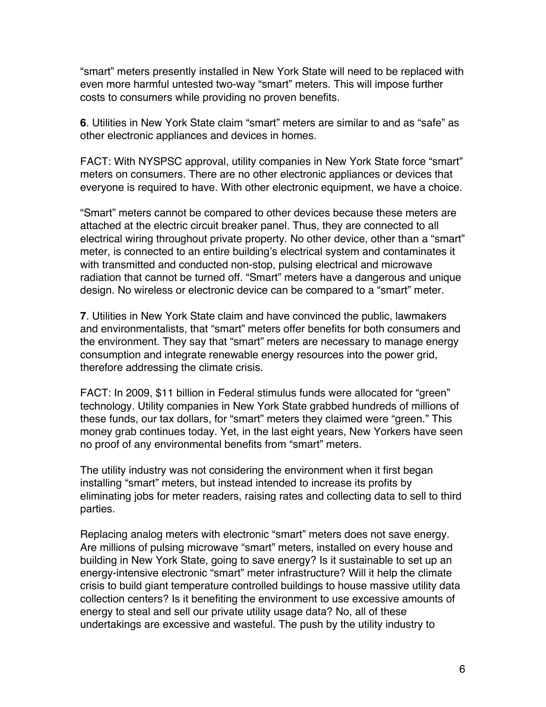"smart" meters presently installed in New York State will need to be replaced with even more harmful untested two-way "smart" meters. This will impose further costs to consumers while providing no proven benefits.

**6**. Utilities in New York State claim "smart" meters are similar to and as "safe" as other electronic appliances and devices in homes.

FACT: With NYSPSC approval, utility companies in New York State force "smart" meters on consumers. There are no other electronic appliances or devices that everyone is required to have. With other electronic equipment, we have a choice.

"Smart" meters cannot be compared to other devices because these meters are attached at the electric circuit breaker panel. Thus, they are connected to all electrical wiring throughout private property. No other device, other than a "smart" meter, is connected to an entire building's electrical system and contaminates it with transmitted and conducted non-stop, pulsing electrical and microwave radiation that cannot be turned off. "Smart" meters have a dangerous and unique design. No wireless or electronic device can be compared to a "smart" meter.

**7**. Utilities in New York State claim and have convinced the public, lawmakers and environmentalists, that "smart" meters offer benefits for both consumers and the environment. They say that "smart" meters are necessary to manage energy consumption and integrate renewable energy resources into the power grid, therefore addressing the climate crisis.

FACT: In 2009, \$11 billion in Federal stimulus funds were allocated for "green" technology. Utility companies in New York State grabbed hundreds of millions of these funds, our tax dollars, for "smart" meters they claimed were "green." This money grab continues today. Yet, in the last eight years, New Yorkers have seen no proof of any environmental benefits from "smart" meters.

The utility industry was not considering the environment when it first began installing "smart" meters, but instead intended to increase its profits by eliminating jobs for meter readers, raising rates and collecting data to sell to third parties.

Replacing analog meters with electronic "smart" meters does not save energy. Are millions of pulsing microwave "smart" meters, installed on every house and building in New York State, going to save energy? Is it sustainable to set up an energy-intensive electronic "smart" meter infrastructure? Will it help the climate crisis to build giant temperature controlled buildings to house massive utility data collection centers? Is it benefiting the environment to use excessive amounts of energy to steal and sell our private utility usage data? No, all of these undertakings are excessive and wasteful. The push by the utility industry to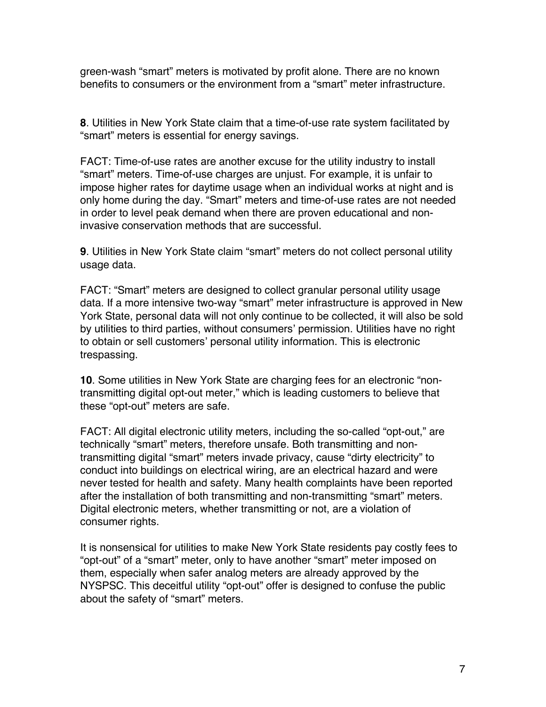green-wash "smart" meters is motivated by profit alone. There are no known benefits to consumers or the environment from a "smart" meter infrastructure.

**8**. Utilities in New York State claim that a time-of-use rate system facilitated by "smart" meters is essential for energy savings.

FACT: Time-of-use rates are another excuse for the utility industry to install "smart" meters. Time-of-use charges are unjust. For example, it is unfair to impose higher rates for daytime usage when an individual works at night and is only home during the day. "Smart" meters and time-of-use rates are not needed in order to level peak demand when there are proven educational and noninvasive conservation methods that are successful.

**9**. Utilities in New York State claim "smart" meters do not collect personal utility usage data.

FACT: "Smart" meters are designed to collect granular personal utility usage data. If a more intensive two-way "smart" meter infrastructure is approved in New York State, personal data will not only continue to be collected, it will also be sold by utilities to third parties, without consumers' permission. Utilities have no right to obtain or sell customers' personal utility information. This is electronic trespassing.

**10**. Some utilities in New York State are charging fees for an electronic "nontransmitting digital opt-out meter," which is leading customers to believe that these "opt-out" meters are safe.

FACT: All digital electronic utility meters, including the so-called "opt-out," are technically "smart" meters, therefore unsafe. Both transmitting and nontransmitting digital "smart" meters invade privacy, cause "dirty electricity" to conduct into buildings on electrical wiring, are an electrical hazard and were never tested for health and safety. Many health complaints have been reported after the installation of both transmitting and non-transmitting "smart" meters. Digital electronic meters, whether transmitting or not, are a violation of consumer rights.

It is nonsensical for utilities to make New York State residents pay costly fees to "opt-out" of a "smart" meter, only to have another "smart" meter imposed on them, especially when safer analog meters are already approved by the NYSPSC. This deceitful utility "opt-out" offer is designed to confuse the public about the safety of "smart" meters.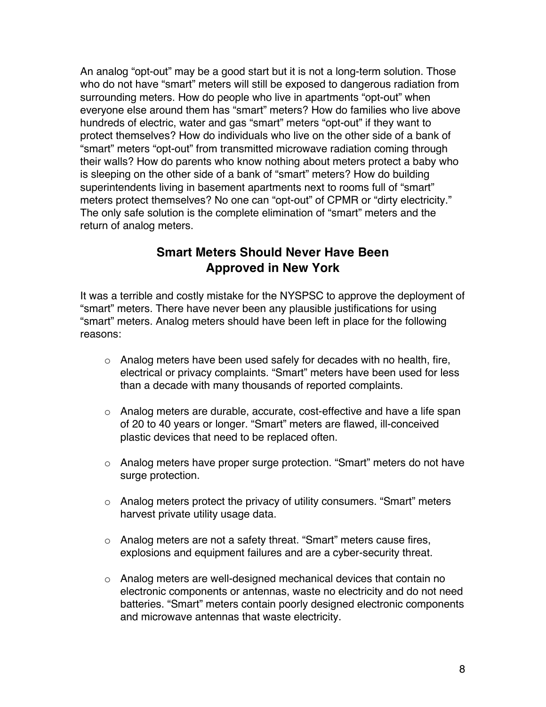An analog "opt-out" may be a good start but it is not a long-term solution. Those who do not have "smart" meters will still be exposed to dangerous radiation from surrounding meters. How do people who live in apartments "opt-out" when everyone else around them has "smart" meters? How do families who live above hundreds of electric, water and gas "smart" meters "opt-out" if they want to protect themselves? How do individuals who live on the other side of a bank of "smart" meters "opt-out" from transmitted microwave radiation coming through their walls? How do parents who know nothing about meters protect a baby who is sleeping on the other side of a bank of "smart" meters? How do building superintendents living in basement apartments next to rooms full of "smart" meters protect themselves? No one can "opt-out" of CPMR or "dirty electricity." The only safe solution is the complete elimination of "smart" meters and the return of analog meters.

#### **Smart Meters Should Never Have Been Approved in New York**

It was a terrible and costly mistake for the NYSPSC to approve the deployment of "smart" meters. There have never been any plausible justifications for using "smart" meters. Analog meters should have been left in place for the following reasons:

- o Analog meters have been used safely for decades with no health, fire, electrical or privacy complaints. "Smart" meters have been used for less than a decade with many thousands of reported complaints.
- $\circ$  Analog meters are durable, accurate, cost-effective and have a life span of 20 to 40 years or longer. "Smart" meters are flawed, ill-conceived plastic devices that need to be replaced often.
- o Analog meters have proper surge protection. "Smart" meters do not have surge protection.
- o Analog meters protect the privacy of utility consumers. "Smart" meters harvest private utility usage data.
- o Analog meters are not a safety threat. "Smart" meters cause fires, explosions and equipment failures and are a cyber-security threat.
- o Analog meters are well-designed mechanical devices that contain no electronic components or antennas, waste no electricity and do not need batteries. "Smart" meters contain poorly designed electronic components and microwave antennas that waste electricity.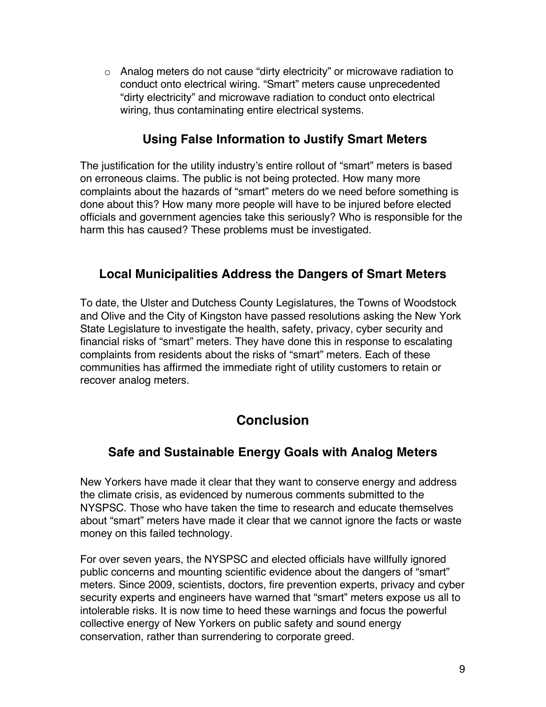o Analog meters do not cause "dirty electricity" or microwave radiation to conduct onto electrical wiring. "Smart" meters cause unprecedented "dirty electricity" and microwave radiation to conduct onto electrical wiring, thus contaminating entire electrical systems.

#### **Using False Information to Justify Smart Meters**

The justification for the utility industry's entire rollout of "smart" meters is based on erroneous claims. The public is not being protected. How many more complaints about the hazards of "smart" meters do we need before something is done about this? How many more people will have to be injured before elected officials and government agencies take this seriously? Who is responsible for the harm this has caused? These problems must be investigated.

#### **Local Municipalities Address the Dangers of Smart Meters**

To date, the Ulster and Dutchess County Legislatures, the Towns of Woodstock and Olive and the City of Kingston have passed resolutions asking the New York State Legislature to investigate the health, safety, privacy, cyber security and financial risks of "smart" meters. They have done this in response to escalating complaints from residents about the risks of "smart" meters. Each of these communities has affirmed the immediate right of utility customers to retain or recover analog meters.

## **Conclusion**

## **Safe and Sustainable Energy Goals with Analog Meters**

New Yorkers have made it clear that they want to conserve energy and address the climate crisis, as evidenced by numerous comments submitted to the NYSPSC. Those who have taken the time to research and educate themselves about "smart" meters have made it clear that we cannot ignore the facts or waste money on this failed technology.

For over seven years, the NYSPSC and elected officials have willfully ignored public concerns and mounting scientific evidence about the dangers of "smart" meters. Since 2009, scientists, doctors, fire prevention experts, privacy and cyber security experts and engineers have warned that "smart" meters expose us all to intolerable risks. It is now time to heed these warnings and focus the powerful collective energy of New Yorkers on public safety and sound energy conservation, rather than surrendering to corporate greed.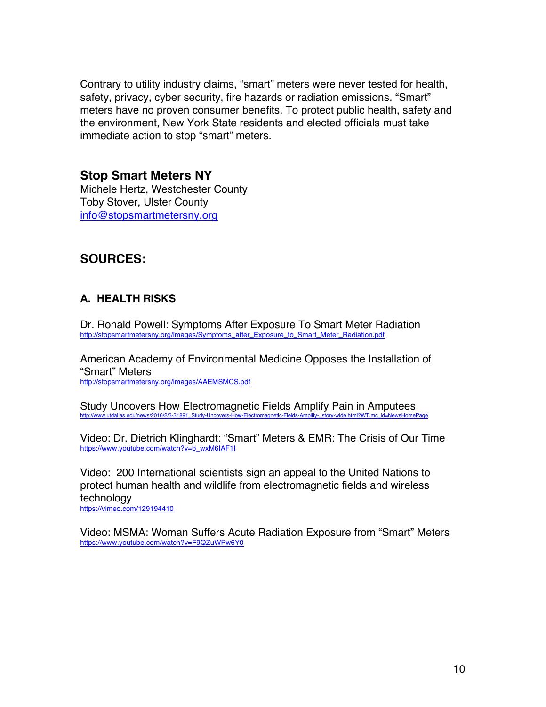Contrary to utility industry claims, "smart" meters were never tested for health, safety, privacy, cyber security, fire hazards or radiation emissions. "Smart" meters have no proven consumer benefits. To protect public health, safety and the environment, New York State residents and elected officials must take immediate action to stop "smart" meters.

## **Stop Smart Meters NY**

Michele Hertz, Westchester County Toby Stover, Ulster County info@stopsmartmetersny.org

## **SOURCES:**

#### **A. HEALTH RISKS**

Dr. Ronald Powell: Symptoms After Exposure To Smart Meter Radiation http://stopsmartmetersny.org/images/Symptoms\_after\_Exposure\_to\_Smart\_Meter\_Radiation.pdf

American Academy of Environmental Medicine Opposes the Installation of "Smart" Meters http://stopsmartmetersny.org/images/AAEMSMCS.pdf

Study Uncovers How Electromagnetic Fields Amplify Pain in Amputees ddallas.edu/news/2016/2/3-31891\_Study-

Video: Dr. Dietrich Klinghardt: "Smart" Meters & EMR: The Crisis of Our Time https://www.youtube.com/watch?v=b\_wxM6IAF1I

Video: 200 International scientists sign an appeal to the United Nations to protect human health and wildlife from electromagnetic fields and wireless technology

https://vimeo.com/129194410

Video: MSMA: Woman Suffers Acute Radiation Exposure from "Smart" Meters https://www.youtube.com/watch?v=F9QZuWPw6Y0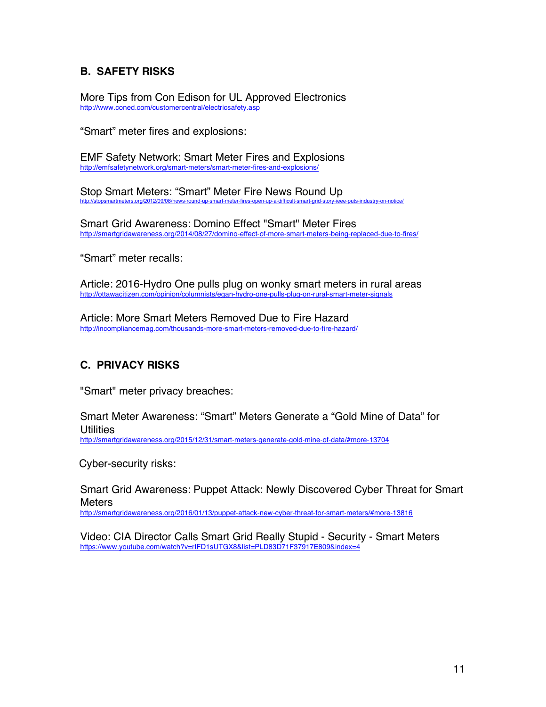#### **B. SAFETY RISKS**

More Tips from Con Edison for UL Approved Electronics http://www.coned.com/customercentral/electricsafety.asp

"Smart" meter fires and explosions:

EMF Safety Network: Smart Meter Fires and Explosions http://emfsafetynetwork.org/smart-meters/smart-meter-fires-and-explosions/

Stop Smart Meters: "Smart" Meter Fire News Round Up s.org/2012/09/08/news-round-up-smart-meter-fires-open-up-a-difficult-smart-grid-story-

Smart Grid Awareness: Domino Effect "Smart" Meter Fires http://smartgridawareness.org/2014/08/27/domino-effect-of-more-smart-meters-being-replaced-due-to-fires/

"Smart" meter recalls:

Article: 2016-Hydro One pulls plug on wonky smart meters in rural areas http://ottawacitizen.com/opinion/columnists/egan-hydro-one-pulls-plug-on-rural-smart-meter-signals

Article: More Smart Meters Removed Due to Fire Hazard http://incompliancemag.com/thousands-more-smart-meters-removed-due-to-fire-hazard/

#### **C. PRIVACY RISKS**

"Smart" meter privacy breaches:

Smart Meter Awareness: "Smart" Meters Generate a "Gold Mine of Data" for **Utilities** http://smartgridawareness.org/2015/12/31/smart-meters-generate-gold-mine-of-data/#more-13704

Cyber-security risks:

Smart Grid Awareness: Puppet Attack: Newly Discovered Cyber Threat for Smart Meters

http://smartgridawareness.org/2016/01/13/puppet-attack-new-cyber-threat-for-smart-meters/#more-13816

Video: CIA Director Calls Smart Grid Really Stupid - Security - Smart Meters https://www.youtube.com/watch?v=rIFD1sUTGX8&list=PLD83D71F37917E809&index=4